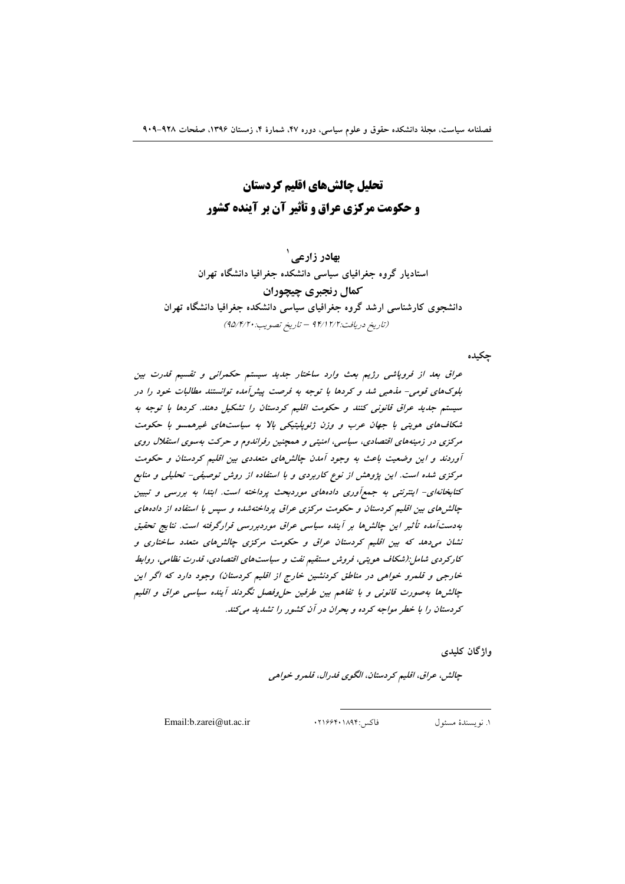تحلیل چالشهای اقلیم کردستان **و حکومت مرکزی عراق و تأثیر آن بر آینده کشور** 

بهادر زارعي <sup>'</sup> استادیار گروه جغرافیای سیاسی دانشکده جغرافیا دانشگاه تهران كمال رنجبري چيچوران دانشجوی کارشناسی ارشد گروه جغرافیای سیاسی دانشکده جغرافیا دانشگاه تهران (تاريخ دريافت:١٢/٢ ٩۴/١٢ - تاريخ تصويب: ٩٥/٢/٢٠)

جكيده

عراق بعد از فروپاشی رژیم بعث وارد ساختار جدید سیستم حکمرانی و تقسیم قدرت بین بلوکهای قومی- مذهبی شد و کردها با توجه به فرصت پیش آمده توانستند مطالبات خود را در سیستم جدید عراق قانونی کنند و حکومت اقلیم کردستان را تشکیل دهند. کردها با توجه به شکافهای هویتی با جهان عرب و وزن ژئوپلیتیکی بالا به سیاستهای غیرهمسو با حکومت مرکزی در زمینههای اقتصادی، سیاسی، امنیتی و همچنین رفراندوم و حرکت بهسوی استقلال روی آوردند و این وضعیت باعث به وجود آمدن چالش مای متعددی بین اقلیم کردستان و حکومت مرکزی شده است. این پژوهش از نوع کاربردی و با استفاده از روش توصیفی- تحلیلی و منابع کتابخانهای- اینترنتی به جمع آوری دادههای موردبحث پرداخته است. ابتدا به بررسی و تبیین چالش های بین اقلیم کردستان و حکومت مرکزی عراق پرداختهشده و سپس با استفاده از دادههای بەدست آمدە تأثير اين چالش ها بر آيندە سياسى عراق موردېررسى قرارگرفته است. نتايج تحقيق نشان میدهد که بین اقلیم کردستان عراق و حکومت مرکزی چالش های متعدد ساختاری و کارکردی شامل:(شکاف هویتی، فروش مستقیم نفت و سیاستهای اقتصادی، قدرت نظامی، روابط خارجی و قلمرو خواهی در مناطق کردنشین خارج از اقلیم کردستان) وجود دارد که اگر این چالش ها بهصورت قانونی و با تفاهم بین طرفین حل وفصل نگردند آینده سیاسی عراق و اقلیم کردستان را با خطر مواجه کرده و بحران در آن کشور را تشدید میکند.

واژگان كليدى

چالش، عراق، اقليم كردستان، الگوي فدرال، قلمرو خواهي

Email:b.zarei@ut.ac.ir

فاكس :١٨٩۴٠١٨٩۴٠

١. نو يسندهٔ مسئول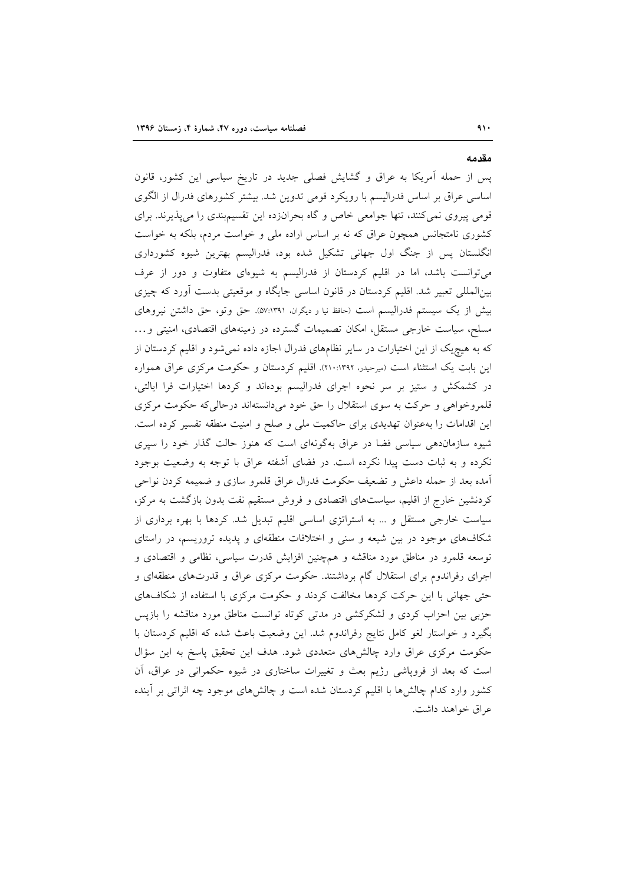#### مقدمه

 $41.$ 

پس از حمله آمریکا به عراق و گشایش فصلی جدید در تاریخ سیاسی این کشور، قانون اساسی عراق بر اساس فدرالیسم با رویکرد قومی تدوین شد. بیشتر کشورهای فدرال از الگوی قومی پیروی نمی کنند، تنها جوامعی خاص و گاه بحرانزده این تقسیم بندی را می پذیرند. برای کشوری نامتجانس همچون عراق که نه بر اساس اراده ملی و خواست مردم، بلکه به خواست انگلستان پس از جنگ اول جهانی تشکیل شده بود، فدرالیسم بهترین شیوه کشورداری می توانست باشد، اما در اقلیم کردستان از فدرالیسم به شیوهای متفاوت و دور از عرف بینالمللی تعبیر شد. اقلیم کردستان در قانون اساسی جایگاه و موقعیتی بدست أورد که چیزی بیش از یک سیستم فدرالیسم است (حافظ نیا و دیگران، ٥٧:١٣٩١). حق وتو، حق داشتن نیروهای مسلح، سیاست خارجی مستقل، امکان تصمیمات گسترده در زمینههای اقتصادی، امنیتی و... که به هیچ یک از این اختیارات در سایر نظامهای فدرال اجازه داده نمی شود و اقلیم کردستان از این بابت یک استثناء است (میرحیدر، ۱۳۹۲:۱۰:۱۳۹). اقلیم کردستان و حکومت مرکزی عراق همواره در کشمکش و ستیز بر سر نحوه اجرای فدرالیسم بودهاند و کردها اختیارات فرا ایالتی، قلمروخواهی و حرکت به سوی استقلال را حق خود میدانستهاند درحالی که حکومت مرکزی این اقدامات را بهعنوان تهدیدی برای حاکمیت ملی و صلح و امنیت منطقه تفسیر کرده است. شیوه سازماندهی سیاسی فضا در عراق بهگونهای است که هنوز حالت گذار خود را سپری نکرده و به ثبات دست پیدا نکرده است. در فضای أشفته عراق با توجه به وضعیت بوجود أمده بعد از حمله داعش و تضعیف حکومت فدرال عراق قلمرو سازی و ضمیمه کردن نواحی کردنشین خارج از اقلیم، سیاستهای اقتصادی و فروش مستقیم نفت بدون بازگشت به مرکز، سیاست خارجی مستقل و ... به استراتژی اساسی اقلیم تبدیل شد. کردها با بهره برداری از شکافهای موجود در بین شیعه و سنی و اختلافات منطقهای و پدیده تروریسم، در راستای توسعه قلمرو در مناطق مورد مناقشه و همچنین افزایش قدرت سیاسی، نظامی و اقتصادی و اجرای رفراندوم برای استقلال گام برداشتند. حکومت مرکزی عراق و قدرتهای منطقهای و حتی جهانی با این حرکت کردها مخالفت کردند و حکومت مرکزی با استفاده از شکافهای حزبی بین احزاب کردی و لشکرکشی در مدتی کوتاه توانست مناطق مورد مناقشه را بازپس بگیرد و خواستار لغو کامل نتایج رفراندوم شد. این وضعیت باعث شده که اقلیم کردستان با حکومت مرکزی عراق وارد چالشهای متعددی شود. هدف این تحقیق پاسخ به این سؤال است که بعد از فرویاشی رژیم بعث و تغییرات ساختاری در شیوه حکمرانی در عراق، آن کشور وارد کدام چالش۱ما با اقلیم کردستان شده است و چالشهای موجود چه اثراتی بر آینده عراق خواهند داشت.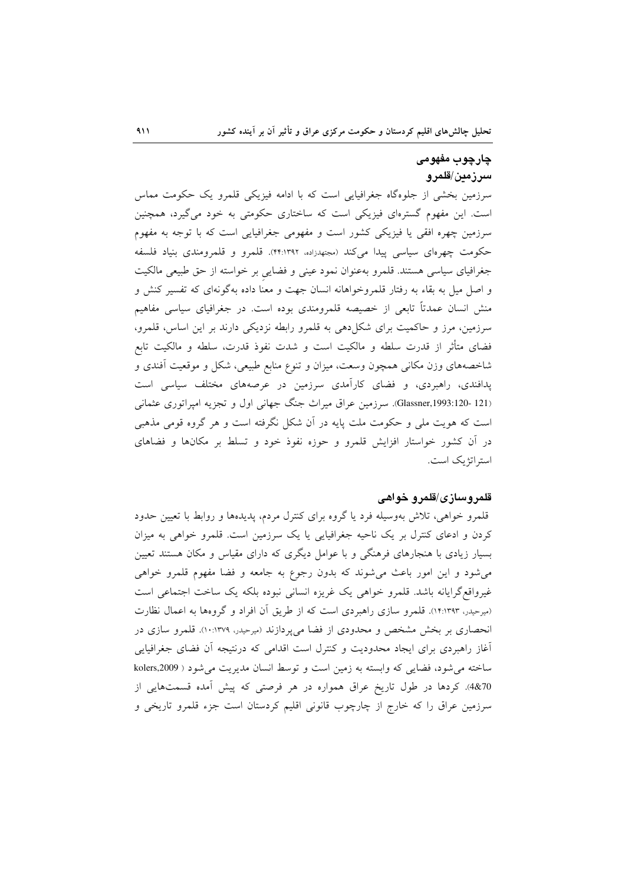# چارچوب مفهومی سرزمين/قلمرو

سرزمین بخشی از جلوهگاه جغرافیایی است که با ادامه فیزیکی قلمرو یک حکومت مماس است. این مفهوم گسترهای فیزیکی است که ساختاری حکومتی به خود میگیرد، همچنین سرزمین چهره افقی یا فیزیکی کشور است و مفهومی جغرافیایی است که با توجه به مفهوم حکومت چهرهای سیاسی پیدا میکند (مجتهدزاده، ۴۴:۱۳۹۲). قلمرو و قلمرومندی بنیاد فلسفه جغرافیای سیاسی هستند. قلمرو بهعنوان نمود عینی و فضایی بر خواسته از حق طبیعی مالکیت و اصل میل به بقاء به رفتار قلمروخواهانه انسان جهت و معنا داده بهگونهای که تفسیر کنش و منش انسان عمدتاً تابعی از خصیصه قلمرومندی بوده است. در جغرافیای سیاسی مفاهیم سرزمین، مرز و حاکمیت برای شکل(هی به قلمرو رابطه نزدیکی دارند بر این اساس، قلمرو، فضای متأثر از قدرت سلطه و مالکیت است و شدت نفوذ قدرت، سلطه و مالکیت تابع شاخصههای وزن مکانی همچون وسعت، میزان و تنوع منابع طبیعی، شکل و موقعیت آفندی و یدافندی، راهبردی، و فضای کارآمدی سرزمین در عرصههای مختلف سیاسی است (Glassner,1993:120- 121). سرزمین عراق میراث جنگ جهانی اول و تجزیه امیراتوری عثمانی است که هویت ملی و حکومت ملت پایه در آن شکل نگرفته است و هر گروه قومی مذهبی در أن كشور خواستار افزايش قلمرو و حوزه نفوذ خود و تسلط بر مكانها و فضاهاى استراتژیک است.

### قلمروسازی/قلمرو خواهی

قلمرو خواهی، تلاش بهوسیله فرد یا گروه برای کنترل مردم، پدیدهها و روابط با تعیین حدود کردن و ادعای کنترل بر یک ناحیه جغرافیایی یا یک سرزمین است. قلمرو خواهی به میزان بسیار زیادی با هنجارهای فرهنگی و با عوامل دیگری که دارای مقیاس و مکان هستند تعیین می شود و این امور باعث می شوند که بدون رجوع به جامعه و فضا مفهوم قلمرو خواهی غیرواقع گرایانه باشد. قلمرو خواهی یک غریزه انسانی نبوده بلکه یک ساخت اجتماعی است (میرحیدر، ۱۴:۱۳۹۳). قلمرو سازی راهبردی است که از طریق آن افراد و گروهها به اعمال نظارت انحصاری بر بخش مشخص و محدودی از فضا میپردازند (میرحیدر، ۱۰:۱۳۷۹). قلمرو سازی در آغاز راهبردی برای ایجاد محدودیت و کنترل است اقدامی که درنتیجه آن فضای جغرافیایی ساخته می شود، فضایی که وابسته به زمین است و توسط انسان مدیریت می شود ( kolers,2009 4&70). كردها در طول تاريخ عراق همواره در هر فرصتي كه پيش آمده قسمتهايي از سرزمین عراق را که خارج از چارچوب قانونی اقلیم کردستان است جزء قلمرو تاریخی و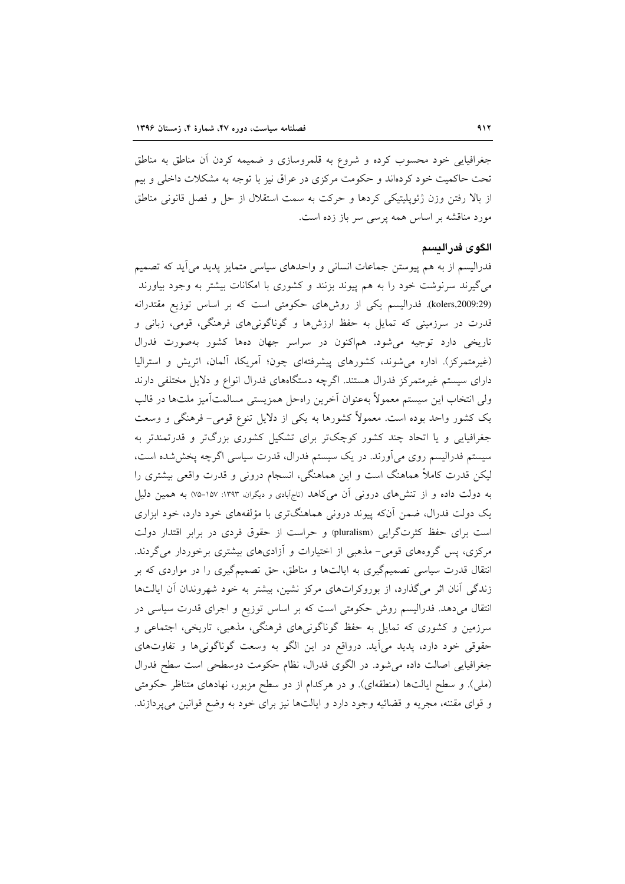جغرافیایی خود محسوب کرده و شروع به قلمروسازی و ضمیمه کردن آن مناطق به مناطق تحت حاکمیت خود کردهاند و حکومت مرکزی در عراق نیز با توجه به مشکلات داخلی و بیم از بالا رفتن وزن ژئوپلیتیکی کردها و حرکت به سمت استقلال از حل و فصل قانونی مناطق مورد مناقشه بر اساس همه پرسی سر باز زده است.

### الگوى فدر النسم

فدرالیسم از به هم پیوستن جماعات انسانی و واحدهای سیاسی متمایز پدید می]ید که تصمیم می گیرند سرنوشت خود را به هم پیوند بزنند و کشوری با امکانات بیشتر به وجود بیاورند (kolers,2009:29). فدرالیسم یکی از روشهای حکومتی است که بر اساس توزیع مقتدرانه قدرت در سرزمینی که تمایل به حفظ ارزشها و گوناگونیهای فرهنگی، قومی، زبانی و تاریخی دارد توجیه میشود. هماکنون در سراسر جهان دهها کشور بهصورت فدرال (غیرمتمرکز). اداره می شوند، کشورهای پیشرفتهای چون؛ آمریکا، آلمان، اتریش و استرالیا دارای سیستم غیرمتمرکز فدرال هستند. اگرچه دستگاههای فدرال انواع و دلایل مختلفی دارند ولي انتخاب اين سيستم معمولاً بهعنوان آخرين راهحل همزيستي مسالمتآميز ملتها در قالب یک کشور واحد بوده است. معمولاً کشورها به یکی از دلایل تنوع قومی- فرهنگی و وسعت جغرافیایی و یا اتحاد چند کشور کوچکتر برای تشکیل کشوری بزرگتر و قدرتمندتر به سیستم فدرالیسم روی می آورند. در یک سیستم فدرال، قدرت سیاسی اگرچه پخششده است، لیکن قدرت کاملاً هماهنگ است و این هماهنگی، انسجام درونی و قدرت واقعی بیشتری را به دولت داده و از تنش(های درونی آن میکاهد (تاجآبادی و دیگران، ۱۳۹۳: ۱۵۷-۷۵) به همین دلیل یک دولت فدرال، ضمن آنکه پیوند درونی هماهنگتری با مؤلفههای خود دارد، خود ابزاری است برای حفظ کثرتگرایی (pluralism) و حراست از حقوق فردی در برابر اقتدار دولت مرکزی، پس گروههای قومی- مذهبی از اختیارات و آزادیهای بیشتری برخوردار می گردند. انتقال قدرت سیاسی تصمیمگیری به ایالتها و مناطق، حق تصمیمگیری را در مواردی که بر زندگی آنان اثر میگذارد، از بوروکراتهای مرکز نشین، بیشتر به خود شهروندان آن ایالتها انتقال میدهد. فدرالیسم روش حکومتی است که بر اساس توزیع و اجرای قدرت سیاسی در سرزمین و کشوری که تمایل به حفظ گوناگونیهای فرهنگی، مذهبی، تاریخی، اجتماعی و حقوقی خود دارد، پدید می[ید. درواقع در این الگو به وسعت گوناگونیها و تفاوتهای جغرافیایی اصالت داده می شود. در الگوی فدرال، نظام حکومت دوسطحی است سطح فدرال (ملي). و سطح ايالتها (منطقهاي). و در هركدام از دو سطح مزبور، نهادهاي متناظر حكومتي و قوای مقننه، مجریه و قضائیه وجود دارد و ایالتها نیز برای خود به وضع قوانین می پردازند.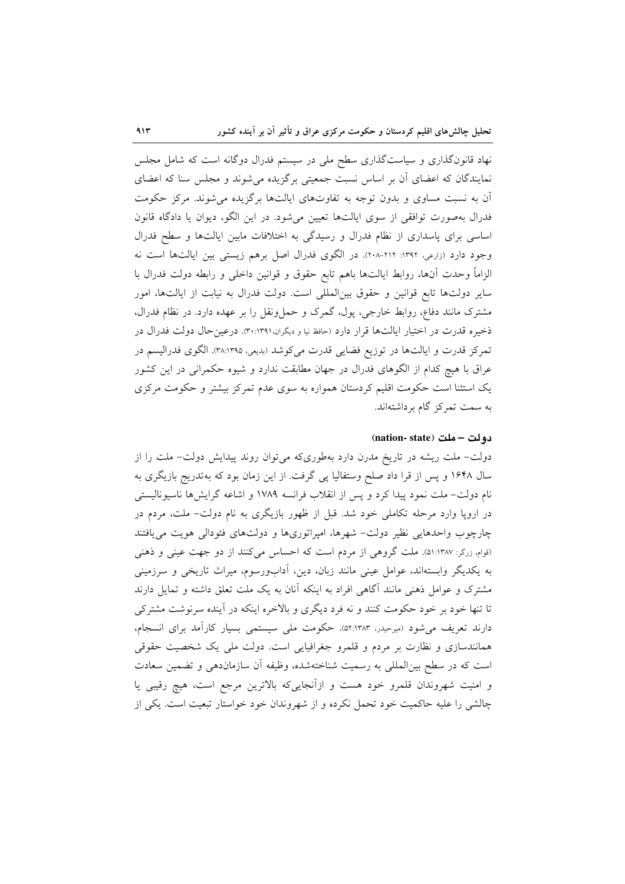نهاد قانونگذاری و سیاستگذاری سطح ملی در سیستم فدرال دوگانه است که شامل مجلس نمایندگان که اعضای آن بر اساس نسبت جمعیتی برگزیده می شوند و مجلس سنا که اعضای آن به نسبت مساوی و بدون توجه به تفاوتهای ایالتها برگزیده میشوند. مرکز حکومت فدرال بهصورت توافقی از سوی ایالتها تعیین میشود. در این الگو، دیوان یا دادگاه قانون اساسی برای پاسداری از نظام فدرال و رسیدگی به اختلافات مابین ایالتها و سطح فدرال وجود دارد (زارعی، ۱۳۹۲: ۲۱۲-۲۰۸). در الگوی فدرال اصل برهم زیستی بین ایالتها است نه الزاماً وحدت أنها، روابط ايالتها باهم تابع حقوق و قوانين داخلي و رابطه دولت فدرال با سایر دولتها تابع قوانین و حقوق بینالمللی است. دولت فدرال به نیابت از ایالتها، امور مشترک مانند دفاع، روابط خارجی، پول، گمرک و حملونقل را بر عهده دارد. در نظام فدرال، ذخیره قدرت در اختیار ایالتها قرار دارد (حافظ نیا و دیگران ۳۰:۱۳۹۱). درعین حال دولت فدرال در تمرکز قدرت و ایالتها در توزیع فضایی قدرت میکوشد (بدیعی، ۳۸:۱۳۹۵). الگوی فدرالیسم در عراق با هیچ کدام از الگوهای فدرال در جهان مطابقت ندارد و شیوه حکمرانی در این کشور یک استثنا است حکومت اقلیم کردستان همواره به سوی عدم تمرکز بیشتر و حکومت مرکزی به سمت تمرکز گام برداشتهاند.

### دولت – ملت (nation- state)

دولت- ملت ریشه در تاریخ مدرن دارد بهطوریکه میتوان روند پیدایش دولت- ملت را از سال ۱۶۴۸ و پس از قرا داد صلح وستفالیا پی گرفت. از این زمان بود که بهتدریج بازیگری به نام دولت- ملت نمود پیدا کرد و پس از انقلاب فرانسه ۱۷۸۹ و اشاعه گرایشها ناسیونالیستی در اروپا وارد مرحله تکاملی خود شد. قبل از ظهور بازیگری به نام دولت– ملت، مردم در چارچوب واحدهایی نظیر دولت- شهرها، امپراتوریها و دولتهای فئودالی هویت می یافتند (قوام، زرگر: ۱:۱۳۸۷). ملت گروهی از مردم است که احساس میکنند از دو جهت عینی و ذهنی به یکدیگر وابستهاند، عوامل عینی مانند زبان، دین، آدابورسوم، میراث تاریخی و سرزمینی مشترک و عوامل ذهنی مانند آگاهی افراد به اینکه آنان به یک ملت تعلق داشته و تمایل دارند تا تنها خود بر خود حکومت کنند و نه فرد دیگری و بالاخره اینکه در آینده سرنوشت مشترکی دارند تعریف میشود (میرحیدر، ۵۲:۱۳۸۳). حکومت ملی سیستمی بسیار کارآمد برای انسجام، همانندسازی و نظارت بر مردم و قلمرو جغرافیایی است. دولت ملی یک شخصیت حقوقی است که در سطح بینالمللی به رسمیت شناختهشده، وظیفه آن سازماندهی و تضمین سعادت و امنیت شهروندان قلمرو خود هست و ازأنجاییکه بالاترین مرجع است، هیچ رقیبی یا چالشی را علیه حاکمیت خود تحمل نکرده و از شهروندان خود خواستار تبعیت است. یکی از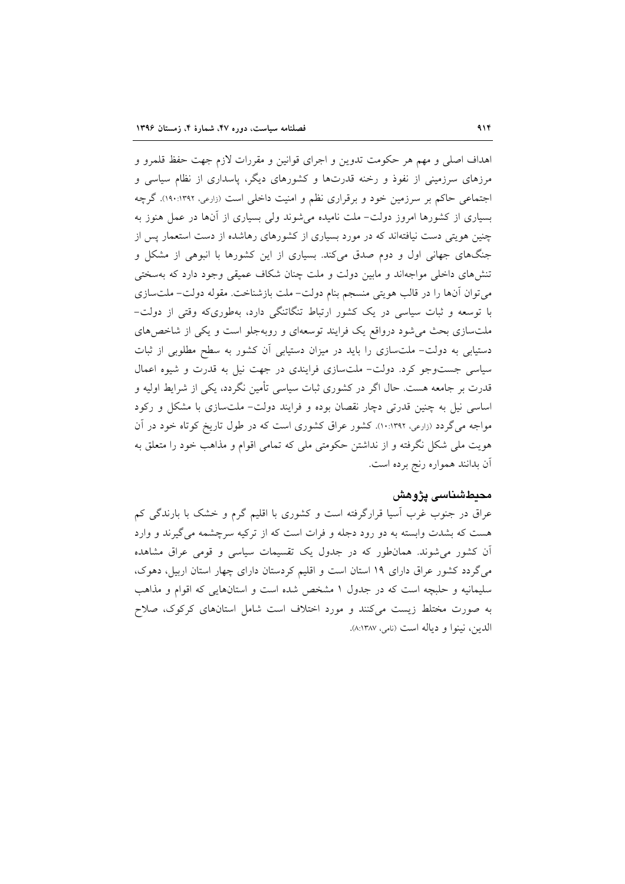اهداف اصلي و مهم هر حكومت تدوين و اجراي قوانين و مقررات لازم جهت حفظ قلمرو و مرزهای سرزمینی از نفوذ و رخنه قدرتها و کشورهای دیگر، پاسداری از نظام سیاسی و اجتماعی حاکم بر سرزمین خود و برقراری نظم و امنیت داخلی است (زارعی، ۱۳۹۲:۱۳۹۲). گرچه بسیاری از کشورها امروز دولت- ملت نامیده می شوند ولی بسیاری از آنها در عمل هنوز به چنین هویتی دست نیافتهاند که در مورد بسیاری از کشورهای رهاشده از دست استعمار پس از جنگهای جهانی اول و دوم صدق میکند. بسیاری از این کشورها با انبوهی از مشکل و تنشرهای داخلی مواجهاند و مابین دولت و ملت چنان شکاف عمیقی وجود دارد که بهسختی می توان آنها را در قالب هویتی منسجم بنام دولت- ملت بازشناخت. مقوله دولت- ملتسازی با توسعه و ثبات سیاسی در یک کشور ارتباط تنگاتنگی دارد، بهطوریکه وقتی از دولت-ملتسازی بحث می شود درواقع یک فرایند توسعهای و روبهجلو است و یکی از شاخص های دستیابی به دولت– ملتسازی را باید در میزان دستیابی آن کشور به سطح مطلوبی از ثبات سیاسی جست وجو کرد. دولت- ملت سازی فرایندی در جهت نیل به قدرت و شیوه اعمال قدرت بر جامعه هست. حال اگر در کشوری ثبات سیاسی تأمین نگردد، یکی از شرایط اولیه و اساسی نیل به چنین قدرتی دچار نقصان بوده و فرایند دولت- ملتسازی با مشکل و رکود مواجه میگردد (زارعی، ۱۰:۱۳۹۲). کشور عراق کشوری است که در طول تاریخ کوتاه خود در آن هویت ملی شکل نگرفته و از نداشتن حکومتی ملی که تمامی اقوام و مذاهب خود را متعلق به آن بدانند همواره رنج برده است.

### محبطشناسی یژوهش

عراق در جنوب غرب اسیا قرارگرفته است و کشوری با اقلیم گرم و خشک با بارندگی کم هست که بشدت وابسته به دو رود دجله و فرات است که از ترکیه سرچشمه می گیرند و وارد آن کشور میشوند. همانطور که در جدول یک تقسیمات سیاسی و قومی عراق مشاهده میگردد کشور عراق دارای ۱۹ استان است و اقلیم کردستان دارای چهار استان اربیل، دهوک، سلیمانیه و حلبچه است که در جدول ۱ مشخص شده است و استانهایی که اقوام و مذاهب به صورت مختلط زیست میکنند و مورد اختلاف است شامل استانهای کرکوک، صلاح الدين، نينوا و دياله است (نامي، ٨:١٣٨٧).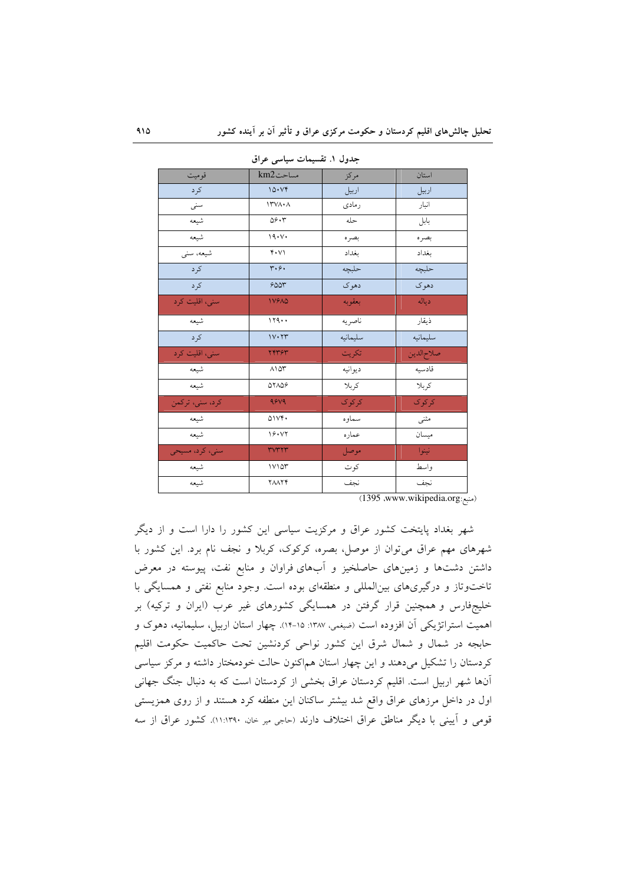| قو میت          | مساحتkm2                            | مركز     | استان      |
|-----------------|-------------------------------------|----------|------------|
| كرد             | 10. Vf                              | اربيل    | اربيل      |
| سنبى            | $\Upsilon \vee \wedge \cdot \wedge$ | رمادى    | انبار      |
| شيعه            | 09.7                                | حله      | بابل       |
| شيعه            | 19.1                                | بصره     | بصره       |
| شیعه، سنی       | $Y \cdot V$                         | بغداد    | بغداد      |
| کرد             | $\mathbf{r} \cdot \mathbf{s} \cdot$ | حلبچه    | حلبچه      |
| كرد             | 600r                                | دهوک     | دهوك       |
| سني، اقليت كرد  | <b>IVEAD</b>                        | بعقوبه   | دياله      |
| شيعه            | 119                                 | ناصريه   | ذيقار      |
| کر د            | $1 V \cdot YV$                      | سليمانيه | سليمانيه   |
| سني، اقليت كرد  | ٢۴٣۶٣                               | تكريت    | صلاح الدين |
| شيعه            | $\wedge \wedge \wedge$              | ديوانيه  | قادسيه     |
| شيعه            | 07109                               | كربلا    | كربلا      |
| كرد، سنى، تركمن | 9849                                | کر کو ک  | كركوك      |
| شيعه            | 01Vf                                | سماوه    | مثنى       |
| شيعه            | 19.17                               | عماره    | ميسان      |
| سنی، کرد، مسیحی | <b>MALLA</b>                        | موصل     | نينوا      |
| شيعه            | $1 \vee 1 \wedge 1$                 | كوت      | واسط       |
| شيعه            | <b>YAAYY</b>                        | نجف      | نجف        |

حدول ١. تقسیمات سیاسی عراق

(1395 www.wikipedia.org.

شهر بغداد پایتخت کشور عراق و مرکزیت سیاسی این کشور را دارا است و از دیگر شهرهای مهم عراق میتوان از موصل، بصره، کرکوک، کربلا و نجف نام برد. این کشور با داشتن دشتها و زمینهای حاصلخیز و آبهای فراوان و منابع نفت، پیوسته در معرض تاختوتاز و درگیریهای بینالمللی و منطقهای بوده است. وجود منابع نفتی و همسایگی با خلیجفارس و همچنین قرار گرفتن در همسایگی کشورهای غیر عرب (ایران و ترکیه) بر اهميت استراتژيكي آن افزوده است (ضيغمي، ١٣٨٧: ١۵-١۴). چهار استان اربيل، سليمانيه، دهوک و حابجه در شمال و شمال شرق این کشور نواحی کردنشین تحت حاکمیت حکومت اقلیم کردستان را تشکیل میدهند و این چهار استان هم|کنون حالت خودمختار داشته و مرکز سیاسی آنها شهر اربیل است. اقلیم کردستان عراق بخشی از کردستان است که به دنبال جنگ جهانی اول در داخل مرزهای عراق واقع شد بیشتر ساکنان این منطفه کرد هستند و از روی همزیستی قومی و آیینی با دیگر مناطق عراق اختلاف دارند (حاجی میر خان، ۱۱:۱۳۹۰). کشور عراق از سه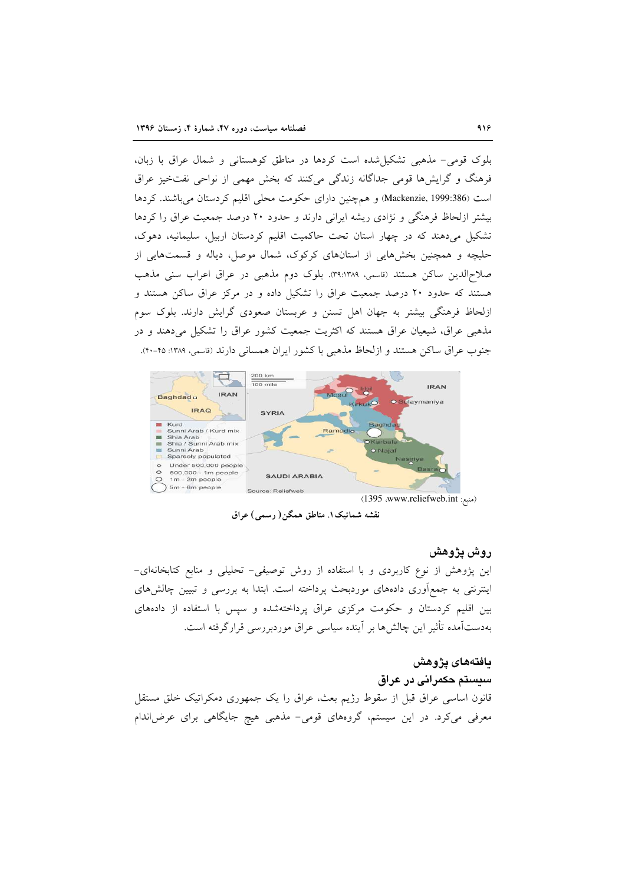بلوک قومی- مذهبی تشکیل شده است کردها در مناطق کوهستانی و شمال عراق با زبان، فرهنگ و گرایش ها قومی جداگانه زندگی میکنند که بخش مهمی از نواحی نفتخیز عراق است (Mackenzie, 1999:386) و هم چنین دارای حکومت محلی اقلیم کردستان می باشند. کردها بیشتر ازلحاظ فرهنگی و نژادی ریشه ایرانی دارند و حدود ۲۰ درصد جمعیت عراق را کردها تشکیل میدهند که در چهار استان تحت حاکمیت اقلیم کردستان اربیل، سلیمانیه، دهوک، حلبچه و همچنین بخشهایی از استانهای کرکوک، شمال موصل، دیاله و قسمتهایی از صلاحالدین ساکن هستند (قاسمی، ۳۹:۱۳۸۹). بلوک دوم مذهبی در عراق اعراب سنی مذهب هستند که حدود ۲۰ درصد جمعیت عراق را تشکیل داده و در مرکز عراق ساکن هستند و ازلحاظ فرهنگی بیشتر به جهان اهل تسنن و عربستان صعودی گرایش دارند. بلوک سوم مذهبی عراق، شیعیان عراق هستند که اکثریت جمعیت کشور عراق را تشکیل می دهند و در جنوب عراق ساكن هستند و ازلحاظ مذهبي با كشور ايران همساني دارند (قاسمي، ١٣٨٩: ۴۵-۴٠).



نقشه شماتيک۱. مناطق همگن( رسمي) عراق

## روش پژوهش

این پژوهش از نوع کاربردی و با استفاده از روش توصیفی- تحلیلی و منابع کتابخانهای-اینترنتی به جمعآوری دادههای موردبحث پرداخته است. ابتدا به بررسی و تبیین چالشهای بین اقلیم کردستان و حکومت مرکزی عراق پرداختهشده و سپس با استفاده از دادههای بهدستآمده تأثیر این چالش ها بر آینده سیاسی عراق موردبررسی قرارگرفته است.

#### **ى**افتەھاي يژوهش

سیستم حکمرانی در عراق قانون اساسی عراق قبل از سقوط رژیم بعث، عراق را یک جمهوری دمکراتیک خلق مستقل معرفی میکرد. در این سیستم، گروههای قومی- مذهبی هیچ جایگاهی برای عرضاندام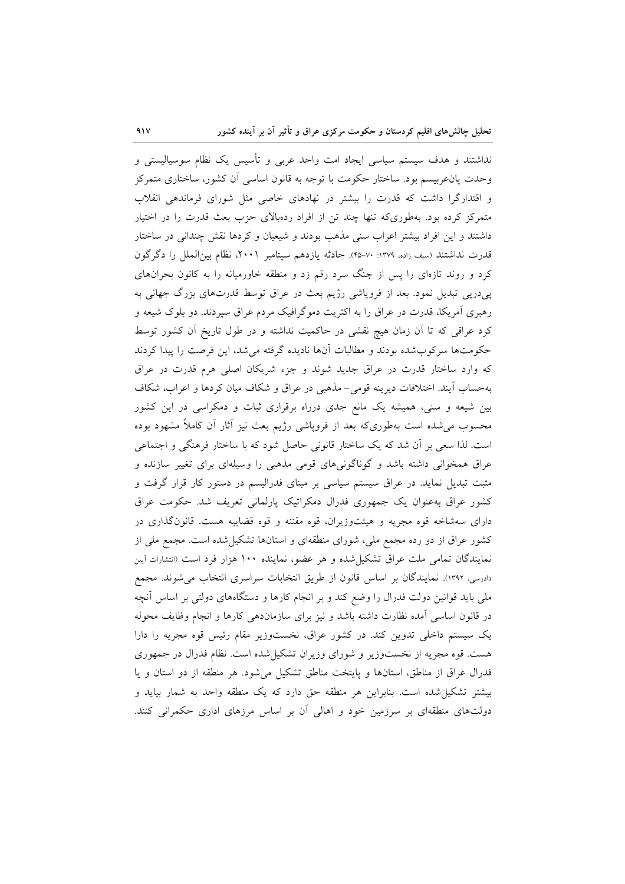نداشتند و هدف سیستم سیاسی ایجاد امت واحد عربی و تأسیس یک نظام سوسیالیستی و وحدت یانء بیسم بود. ساختار حکومت با توجه به قانون اساسی آن کشور، ساختاری متمرکز و اقتدارگرا داشت که قدرت را بیشتر در نهادهای خاصی مثل شورای فرماندهی انقلاب متمرکز کرده بود. بهطوریکه تنها چند تن از افراد ردهبالای حزب بعث قدرت را در اختیار داشتند و این افراد بیشتر اعراب سنی مذهب بودند و شیعیان و کردها نقش چندانی در ساختار قدرت نداشتند (سيف زاده، ١٣٧٩: ٣٠-٢٥). حادثه يازدهم سيتامبر ٢٠٠١، نظام بينالملل را دگرگون کرد و روند تازمای را پس از جنگ سرد رقم زد و منطقه خاورمیانه را به کانون بحرانهای پی،دریی تبدیل نمود. بعد از فروپاشی رژیم بعث در عراق توسط قدرتهای بزرگ جهانی به رهبری آمریکا، قدرت در عراق را به اکثریت دموگرافیک مردم عراق سپردند. دو بلوک شیعه و کرد عراقی که تا آن زمان هیچ نقشی در حاکمیت نداشته و در طول تاریخ آن کشور توسط حکومتها سرکوبشده بودند و مطالبات آنها نادیده گرفته می شد، این فرصت را پیدا کردند که وارد ساختار قدرت در عراق جدید شوند و جزء شریکان اصلی هرم قدرت در عراق بهحساب آيند. اختلافات ديرينه قومي-مذهبي در عراق و شكاف ميان كردها و اعراب، شكاف بین شیعه و سنی، همیشه یک مانع جدی درراه برقراری ثبات و دمکراسی در این کشور محسوب می شده است بهطوریکه بعد از فروپاشی رژیم بعث نیز آثار آن کاملاً مشهود بوده است. لذا سعی بر آن شد که یک ساختار قانونی حاصل شود که با ساختار فرهنگی و اجتماعی عراق همخوانی داشته باشد و گوناگونیهای قومی مذهبی را وسیلهای برای تغییر سازنده و مثبت تبدیل نماید. در عراق سیستم سیاسی بر مبنای فدرالیسم در دستور کار قرار گرفت و کشور عراق به عنوان یک جمهوری فدرال دمکراتیک پارلمانی تعریف شد. حکومت عراق دارای سهشاخه قوه مجریه و هیئتوزیران، قوه مقننه و قوه قضاییه هست. قانونگذاری در کشور عراق از دو رده مجمع ملی، شورای منطقهای و استانها تشکیل شده است. مجمع ملی از نمایندگان تمامی ملت عراق تشکیل شده و هر عضو، نماینده ۱۰۰ هزار فرد است (انتشارات آیین دادرسی، ۱۳۹۲). نمایندگان بر اساس قانون از طریق انتخابات سراسری انتخاب میشوند. مجمع ملی باید قوانین دولت فدرال را وضع کند و بر انجام کارها و دستگاههای دولتی بر اساس آنچه در قانون اساسی آمده نظارت داشته باشد و نیز برای سازماندهی کارها و انجام وظایف محوله یک سیستم داخلی تدوین کند. در کشور عراق، نخستوزیر مقام رئیس قوه مجریه را دارا هست. قوه مجریه از نخستوزیر و شورای وزیران تشکیل شده است. نظام فدرال در جمهوری فدرال عراق از مناطق، استانها و پایتخت مناطق تشکیل می شود. هر منطقه از دو استان و پا بیشتر تشکیل شده است. بنابراین هر منطقه حق دارد که یک منطقه واحد به شمار بیاید و دولتهای منطقهای بر سرزمین خود و اهالی آن بر اساس مرزهای اداری حکمرانی کنند.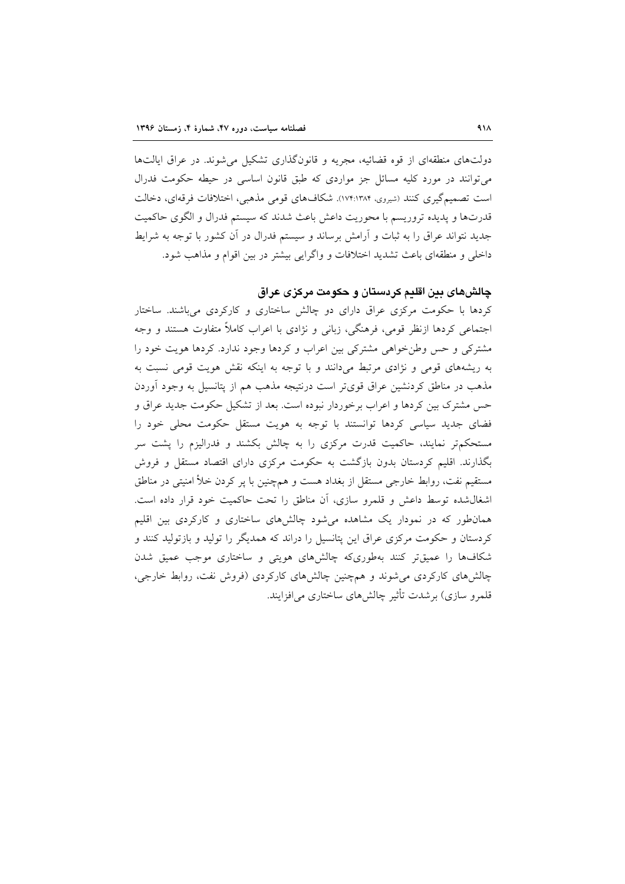دولتهای منطقهای از قوه قضائیه، مجریه و قانونگذاری تشکیل می شوند. در عراق ایالتها مي توانند در مورد کليه مسائل جز مواردي که طبق قانون اساسي در حيطه حکومت فدرال است تصمیم گیری کنند (شیروی، ۱۷۴:۱۳۸۴). شکافهای قومی مذهبی، اختلافات فرقهای، دخالت قدرتها و پدیده تروریسم با محوریت داعش باعث شدند که سیستم فدرال و الگوی حاکمیت جدید نتواند عراق را به ثبات و آرامش برساند و سیستم فدرال در آن کشور با توجه به شرایط داخلی و منطقهای باعث تشدید اختلافات و واگرایی بیشتر در بین اقوام و مذاهب شود.

## چالشهای بین اقلیم کردستان و حکومت مرکزی عراق

کردها با حکومت مرکزی عراق دارای دو چالش ساختاری و کارکردی می باشند. ساختار اجتماعی کردها ازنظر قومی، فرهنگی، زبانی و نژادی با اعراب کاملاً متفاوت هستند و وجه مشترکی و حس وطن خواهی مشترکی بین اعراب و کردها وجود ندارد. کردها هویت خود را به ریشههای قومی و نژادی مرتبط میدانند و با توجه به اینکه نقش هویت قومی نسبت به مذهب در مناطق کردنشین عراق قویتر است درنتیجه مذهب هم از پتانسیل به وجود آوردن حس مشترک بین کردها و اعراب برخوردار نبوده است. بعد از تشکیل حکومت جدید عراق و فضای جدید سیاسی کردها توانستند با توجه به هویت مستقل حکومت محلی خود را مستحکمتر نمایند، حاکمیت قدرت مرکزی را به چالش بکشند و فدرالیزم را پشت سر بگذارند. اقلیم کردستان بدون بازگشت به حکومت مرکزی دارای اقتصاد مستقل و فروش مستقیم نفت، روابط خارجی مستقل از بغداد هست و همچنین با پر کردن خلأ امنیتی در مناطق اشغال شده توسط داعش و قلمرو سازى، أن مناطق را تحت حاكميت خود قرار داده است. همان طور که در نمودار یک مشاهده می شود چالش های ساختاری و کارکردی بین اقلیم کردستان و حکومت مرکزی عراق این پتانسیل را دراند که همدیگر را تولید و بازتولید کنند و شکافها را عمیقتر کنند بهطوریکه چالشهای هویتی و ساختاری موجب عمیق شدن چالشهای کارکردی میشوند و همچنین چالشهای کارکردی (فروش نفت، روابط خارجی، قلمرو سازي) برشدت تأثير چالش۵هاي ساختاري مي|فزايند.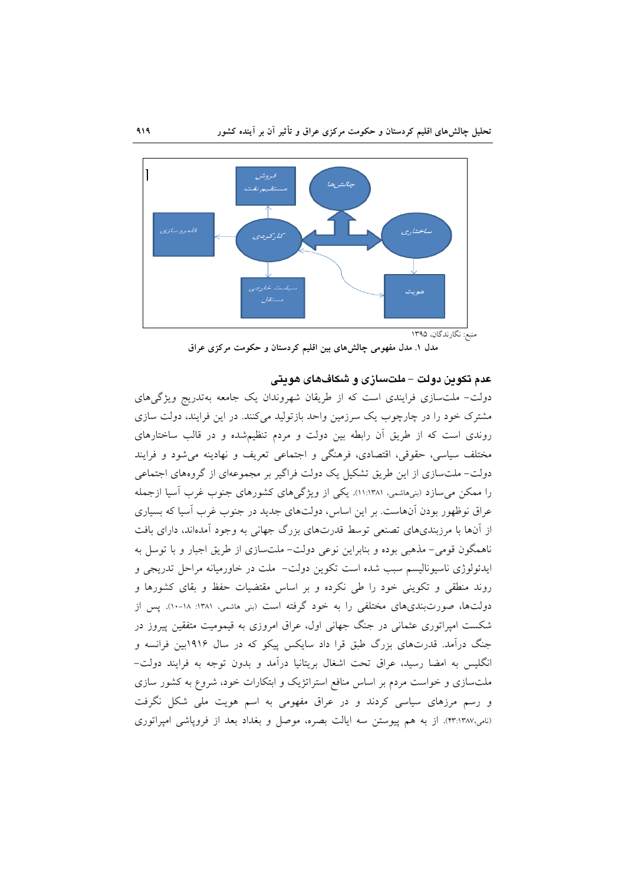

## عدم تکوین دولت – ملتسازی و شکافهای هویتی

دولت- ملتسازی فرایندی است که از طریقان شهروندان یک جامعه بهتدریج ویژگیهای مشترک خود را در چارچوب یک سرزمین واحد بازتولید میکنند. در این فرایند، دولت سازی روندی است که از طریق آن رابطه بین دولت و مردم تنظیمشده و در قالب ساختارهای مختلف سیاسی، حقوقی، اقتصادی، فرهنگی و اجتماعی تعریف و نهادینه می شود و فرایند دولت– ملتسازی از این طریق تشکیل یک دولت فراگیر بر مجموعهای از گروههای اجتماعی را ممکن می سازد (بنیهاشمی، ۱۱:۱۳۸۱). یکی از ویژگی های کشورهای جنوب غرب آسیا ازجمله عراق نوظهور بودن آنهاست. بر این اساس، دولتهای جدید در جنوب غرب آسیا که بسیاری از آنها با مرزبندیهای تصنعی توسط قدرتهای بزرگ جهانی به وجود آمدهاند، دارای بافت ناهمگون قومی- مذهبی بوده و بنابراین نوعی دولت- ملتسازی از طریق اجبار و با توسل به ايدئولوژي ناسيوناليسم سبب شده است تكوين دولت- ملت در خاورميانه مراحل تدريجي و روند منطقی و تکوینی خود را طی نکرده و بر اساس مقتضیات حفظ و بقای کشورها و دولتها، صورتبندیهای مختلفی را به خود گرفته است (بنی هاشمی، ۱۳۸۱: ۱۸-۱۰). پس از شکست امپراتوری عثمانی در جنگ جهانی اول، عراق امروزی به قیمومیت متفقین پیروز در جنگ درآمد. قدرتهای بزرگ طبق قرا داد سایکس پیکو که در سال ۱۹۱۶بین فرانسه و انگلیس به امضا رسید، عراق تحت اشغال بریتانیا درآمد و بدون توجه به فرایند دولت– ملتسازی و خواست مردم بر اساس منافع استراتژیک و ابتکارات خود، شروع به کشور سازی و رسم مرزهای سیاسی کردند و در عراق مفهومی به اسم هویت ملی شکل نگرفت (نامی،۴۳:۱۳۸۷). از به هم پیوستن سه ایالت بصره، موصل و بغداد بعد از فروپاشی امیراتوری

مدل ۱. مدل مفهومی چالشهای بین اقلیم کردستان و حکومت مرکزی عراق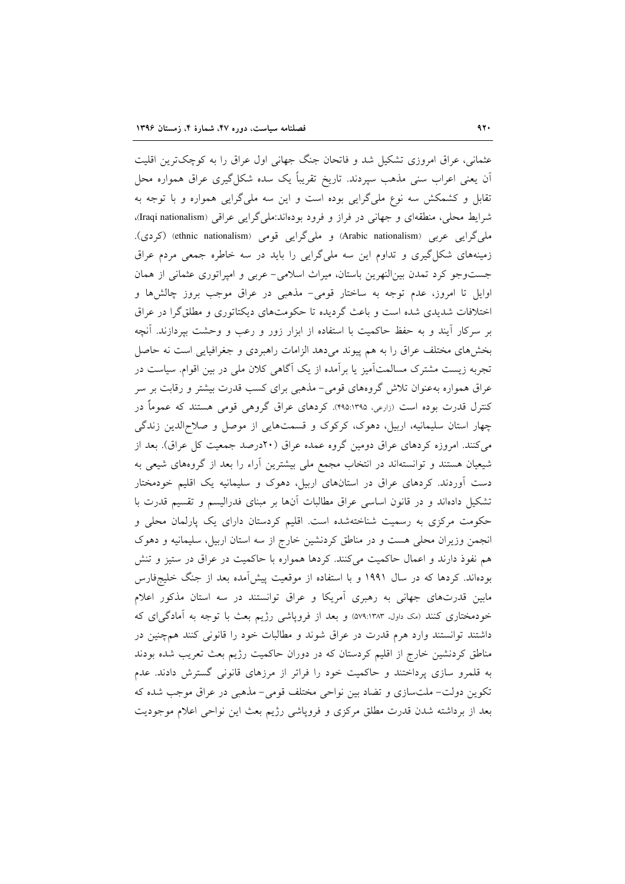عثمانی، عراق امروزی تشکیل شد و فاتحان جنگ جهانی اول عراق را به کوچکترین اقلیت ان یعنی اعراب سنی مذهب سپردند. تاریخ تقریباً یک سده شکل گیری عراق همواره محل تقابل و کشمکش سه نوع ملیگرایی بوده است و این سه ملیگرایی همواره و با توجه به شرایط محلی، منطقهای و جهانی در فراز و فرود بودهاند:ملیگرایی عراقی (Iraqi nationalism)، ملی گرایی عربی (Arabic nationalism) و ملی گرایی قومی (ethnic nationalism) (کردی). زمینههای شکل گیری و تداوم این سه ملی گرایی را باید در سه خاطره جمعی مردم عراق جست وجو کرد تمدن بین النهرین باستان، میراث اسلامی- عربی و امپراتوری عثمانی از همان اوایل تا امروز، عدم توجه به ساختار قومی- مذهبی در عراق موجب بروز چالشها و اختلافات شدیدی شده است و باعث گردیده تا حکومتهای دیکتاتوری و مطلقگرا در عراق بر سركار آيند و به حفظ حاكميت با استفاده از ابزار زور و رعب و وحشت بيردازند. آنچه بخشهای مختلف عراق را به هم پیوند می دهد الزامات راهبردی و جغرافیایی است نه حاصل تجربه زیست مشترک مسالمتأمیز یا برأمده از یک أگاهی کلان ملی در بین اقوام. سیاست در عراق همواره بهعنوان تلاش گروههای قومی-مذهبی برای کسب قدرت بیشتر و رقابت بر سر کنترل قدرت بوده است (زارعی، ۴۹۵:۱۳۹۵). کردهای عراق گروهی قومی هستند که عموماً در چهار استان سلیمانیه، اربیل، دهوک، کرکوک و قسمتهایی از موصل و صلاحالدین زندگی می کنند. امروزه کردهای عراق دومین گروه عمده عراق (۲۰درصد جمعیت کل عراق). بعد از شیعیان هستند و توانستهاند در انتخاب مجمع ملی بیشترین أراء را بعد از گروههای شیعی به دست آوردند. کردهای عراق در استانهای اربیل، دهوک و سلیمانیه یک اقلیم خودمختار تشکیل دادماند و در قانون اساسی عراق مطالبات آنها بر مبنای فدرالیسم و تقسیم قدرت با حکومت مرکزی به رسمیت شناختهشده است. اقلیم کردستان دارای یک پارلمان محلی و انجمن وزیران محلی هست و در مناطق کردنشین خارج از سه استان اربیل، سلیمانیه و دهوک هم نفوذ دارند و اعمال حاکمیت میکنند. کردها همواره با حاکمیت در عراق در ستیز و تنش بودهاند. کردها که در سال ۱۹۹۱ و با استفاده از موقعیت پیشآمده بعد از جنگ خلیجفارس مابین قدرتهای جهانی به رهبری آمریکا و عراق توانستند در سه استان مذکور اعلام خودمختاری کنند (مک داول، ۵۷۹:۱۳۸۳) و بعد از فروپاشی رژیم بعث با توجه به آمادگی ای که داشتند توانستند وارد هرم قدرت در عراق شوند و مطالبات خود را قانونی کنند همچنین در مناطق کردنشین خارج از اقلیم کردستان که در دوران حاکمیت رژیم بعث تعریب شده بودند به قلمرو سازی پرداختند و حاکمیت خود را فراتر از مرزهای قانونی گسترش دادند. عدم تکوین دولت- ملتسازی و تضاد بین نواحی مختلف قومی- مذهبی در عراق موجب شده که بعد از برداشته شدن قدرت مطلق مرکزی و فروپاشی رژیم بعث این نواحی اعلام موجودیت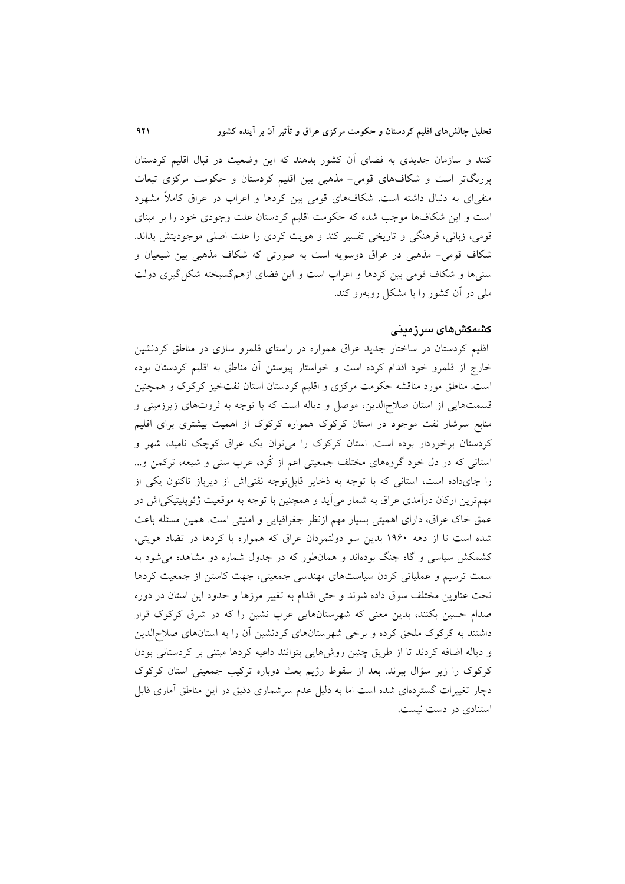کنند و سازمان جدیدی به فضای آن کشور بدهند که این وضعیت در قبال اقلیم کردستان پررنگتر است و شکافهای قومی- مذهبی بین اقلیم کردستان و حکومت مرکزی تبعات منفیای به دنبال داشته است. شکافهای قومی بین کردها و اعراب در عراق کاملاً مشهود است و این شکافها موجب شده که حکومت اقلیم کردستان علت وجودی خود را بر مبنای قومی، زبانی، فرهنگی و تاریخی تفسیر کند و هویت کردی را علت اصلی موجودیتش بداند. شکاف قومی- مذهبی در عراق دوسویه است به صورتی که شکاف مذهبی بین شیعیان و سنیها و شکاف قومی بین کردها و اعراب است و این فضای ازهمگسیخته شکل گیری دولت ملی در آن کشور را با مشکل روبهرو کند.

### کشمکشهای سرزمینی

اقلیم کردستان در ساختار جدید عراق همواره در راستای قلمرو سازی در مناطق کردنشین خارج از قلمرو خود اقدام کرده است و خواستار پیوستن آن مناطق به اقلیم کردستان بوده است. مناطق مورد مناقشه حکومت مرکزی و اقلیم کردستان استان نفتخیز کرکوک و همچنین قسمتهایی از استان صلاح|لدین، موصل و دیاله است که با توجه به ثروتهای زیرزمینی و منابع سرشار نفت موجود در استان کرکوک همواره کرکوک از اهمیت بیشتری برای اقلیم کردستان برخوردار بوده است. استان کرکوک را میٍتوان یک عراق کوچک نامید، شهر و استانی که در دل خود گروههای مختلف جمعیتی اعم از کُرد، عرب سنی و شیعه، ترکمن و… را جایداده است، استانی که با توجه به ذخایر قابل توجه نفتی اش از دیرباز تاکنون یکی از مهمترین ارکان درآمدی عراق به شمار میآید و همچنین با توجه به موقعیت ژئوپلیتیکی اش در عمق خاک عراق، دارای اهمیتی بسیار مهم ازنظر جغرافیایی و امنیتی است. همین مسئله باعث شده است تا از دهه ۱۹۶۰ بدین سو دولتمردان عراق که همواره با کردها در تضاد هویتی، کشمکش سیاسی و گاه جنگ بودهاند و همانطور که در جدول شماره دو مشاهده می شود به سمت ترسیم و عملیاتی کردن سیاستهای مهندسی جمعیتی، جهت کاستن از جمعیت کردها تحت عناوین مختلف سوق داده شوند و حتی اقدام به تغییر مرزها و حدود این استان در دوره صدام حسین بکنند، بدین معنی که شهرستانهایی عرب نشین را که در شرق کرکوک قرار داشتند به کرکوک ملحق کرده و برخی شهرستانهای کردنشین آن را به استانهای صلاح الدین و دیاله اضافه کردند تا از طریق چنین روشهایی بتوانند داعیه کردها مبتنی بر کردستانی بودن کرکوک را زیر سؤال ببرند. بعد از سقوط رژیم بعث دوباره ترکیب جمعیتی استان کرکوک دچار تغییرات گستردهای شده است اما به دلیل عدم سرشماری دقیق در این مناطق آماری قابل استنادی در دست نیست.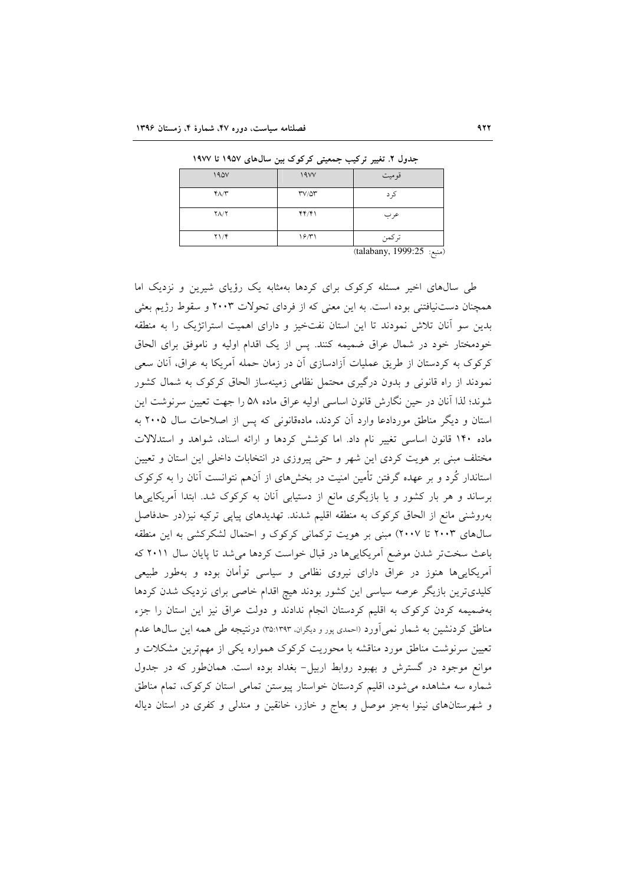| 190V            | 19VV                                        | قوميت                                                    |
|-----------------|---------------------------------------------|----------------------------------------------------------|
| $Y\Lambda/Y$    | $\mathsf{r}\mathsf{v}/\mathsf{a}\mathsf{r}$ | کر د                                                     |
| $Y\Lambda/Y$    | YY/Y                                        | عرب                                                      |
| $Y \setminus Y$ | ۱۶/۳۱                                       | تركمن<br>the contract of the contract of the contract of |

حدول ٢. تغییر ترکیب حمعیتی کرکوک بین سال های ١٩٥٧ تا ١٩٧٧

(talabany, 1999:25 :منبع)

طی سالهای اخیر مسئله کرکوک برای کردها بهمثابه یک رؤیای شیرین و نزدیک اما همچنان دستنیافتنی بوده است. به این معنی که از فردای تحولات ۲۰۰۳ و سقوط رژیم بعثی بدین سو آنان تلاش نمودند تا این استان نفتخیز و دارای اهمیت استراتژیک را به منطقه خودمختار خود در شمال عراق ضميمه كنند. پس از يک اقدام اوليه و ناموفق براي الحاق کرکوک به کردستان از طریق عملیات آزادسازی آن در زمان حمله آمریکا به عراق، آنان سعی نمودند از راه قانونی و بدون درگیری محتمل نظامی زمینهساز الحاق کرکوک به شمال کشور شوند؛ لذا آنان در حین نگارش قانون اساسی اولیه عراق ماده ۵۸ را جهت تعیین سرنوشت این استان و دیگر مناطق موردادعا وارد آن کردند، مادهقانونی که پس از اصلاحات سال ۲۰۰۵ به ماده ۱۴۰ قانون اساسی تغییر نام داد. اما کوشش کردها و ارائه اسناد، شواهد و استدلالات مختلف مبنی بر هویت کردی این شهر و حتی پیروزی در انتخابات داخلی این استان و تعیین استاندار کُرد و بر عهده گرفتن تأمین امنیت در بخشهای از آنهم نتوانست آنان را به کرکوک برساند و هر بار کشور و یا بازیگری مانع از دستیابی آنان به کرکوک شد. ابتدا آمریکاییها بهروشنی مانع از الحاق کرکوک به منطقه اقلیم شدند. تهدیدهای پیاپی ترکیه نیز(در حدفاصل سالهای ۲۰۰۳ تا ۲۰۰۷) مبنی بر هویت ترکمانی کرکوک و احتمال لشکرکشی به این منطقه باعث سخت تر شدن موضع آمریکاییها در قبال خواست کردها می شد تا پایان سال ۲۰۱۱ که آمریکاییها هنوز در عراق دارای نیروی نظامی و سیاسی توأمان بوده و بهطور طبیعی کلیدیترین بازیگر عرصه سیاسی این کشور بودند هیچ اقدام خاصی برای نزدیک شدن کردها بهضمیمه کردن کرکوک به اقلیم کردستان انجام ندادند و دولت عراق نیز این استان را جزء مناطق کردنشین به شمار نمی آورد (احمدی پور و دیگران، ۳۹۳:۳۵) درنتیجه طی همه این سال ها عدم تعیین سرنوشت مناطق مورد مناقشه با محوریت کرکوک همواره یکی از مهم ترین مشکلات و موانع موجود در گسترش و بهبود روابط اربیل- بغداد بوده است. همان طور که در جدول شماره سه مشاهده می شود، اقلیم کردستان خواستار پیوستن تمامی استان کرکوک، تمام مناطق و شهرستانهای نینوا بهجز موصل و بعاج و خازر، خانقین و مندلی و کفری در استان دیاله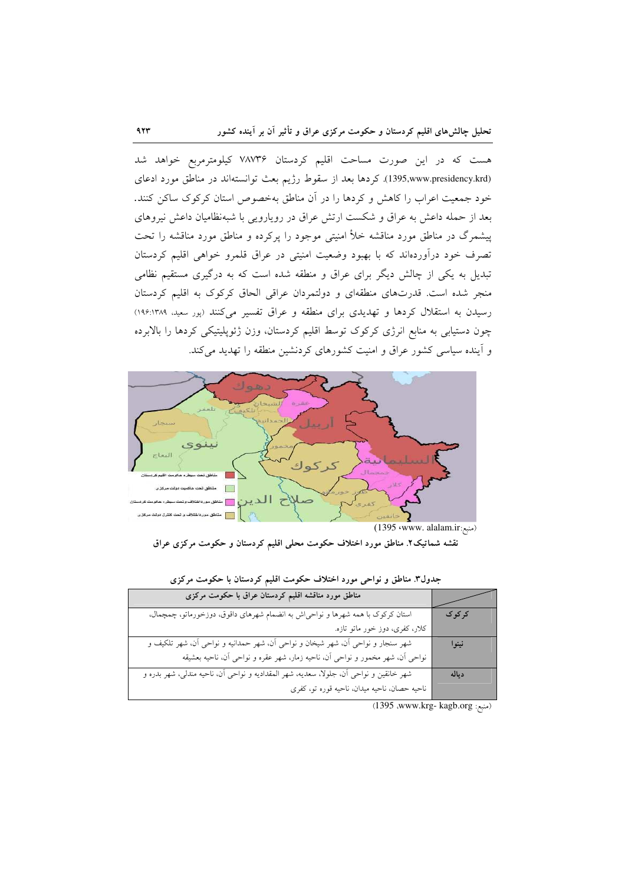هست که در این صورت مساحت اقلیم کردستان ۷۸۷۳۶ کیلومترمربع خواهد شد (1395,www.presidency.krd). كردها بعد از سقوط رژيم بعث توانستهاند در مناطق مورد ادعاى خود جمعیت اعراب را کاهش و کردها را در آن مناطق بهخصوص استان کرکوک ساکن کنند. بعد از حمله داعش به عراق و شکست ارتش عراق در رویارویی با شبهنظامیان داعش نیروهای پیشمرگ در مناطق مورد مناقشه خلأ امنیتی موجود را پرکرده و مناطق مورد مناقشه را تحت تصرف خود درآوردهاند که با بهبود وضعیت امنیتی در عراق قلمرو خواهی اقلیم کردستان تبدیل به یکی از چالش دیگر برای عراق و منطقه شده است که به درگیری مستقیم نظامی منجر شده است. قدرتهای منطقهای و دولتمردان عراقی الحاق کرکوک به اقلیم کردستان رسیدن به استقلال کردها و تهدیدی برای منطقه و عراق تفسیر میکنند (پور سعید، ۱۹۶:۱۳۸۹) چون دستیابی به منابع انرژی کرکوک توسط اقلیم کردستان، وزن ژئوپلیتیکی کردها را بالابرده و آینده سیاسی کشور عراق و امنیت کشورهای کردنشین منطقه را تهدید می کند.



نقشه شماتیک۲. مناطق مورد اختلاف حکومت محلی اقلیم کردستان و حکومت مرکزی عراق

| مناطق مورد مناقشه اقلیم کردستان عراق با حکومت مرکزی                                    |         |
|----------------------------------------------------------------------------------------|---------|
| استان کرکوک با همه شهرها و نواحی[ش به انضمام شهرهای داقوق، دوزخورماتو، چمچمال،         | کر کو ک |
| کلار، کفری، دوز خور ماتو تازه.                                                         |         |
| شهر سنجار و نواحی آن، شهر شیخان و نواحی آن، شهر حمدانیه و نواحی آن، شهر تلکیف و        | نينوا   |
| نواحی آن، شهر مخمور و نواحی آن، ناحیه زمار، شهر عقره و نواحی آن، ناحیه بعشیقه          |         |
| شهر خانقین و نواحی آن، جلولا، سعدیه، شهر المقدادیه و نواحی آن، ناحیه مندلی، شهر بدره و | دياله   |
| ناحیه حصان، ناحیه میدان، ناحیه قوره تو، کفری                                           |         |

جدول٣. مناطق و نواحی مورد اختلاف حکومت اقلیم کردستان با حکومت مرکزی

(منبع: 1395.org) (Auww.krg- kagb.org)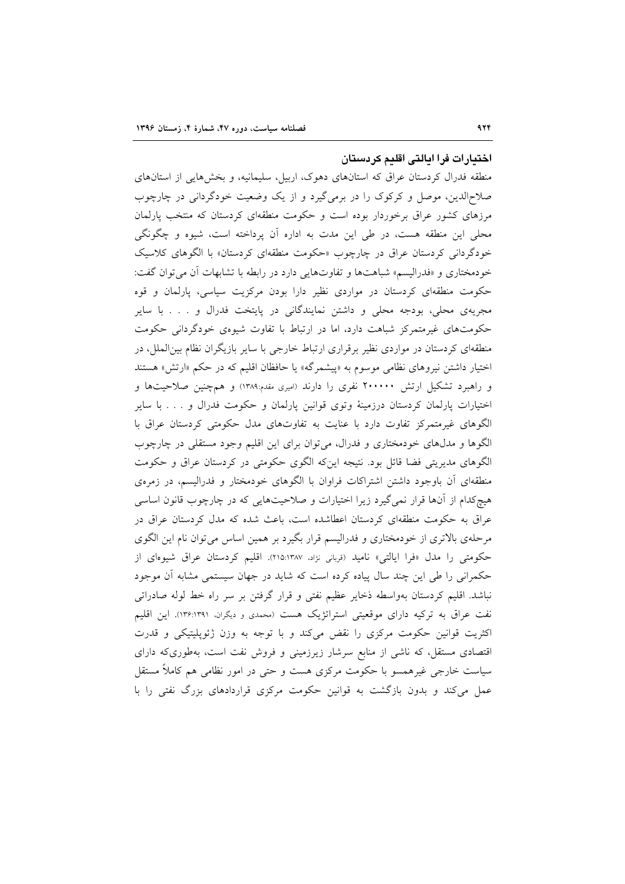## اختيارات فرا ايالتى اقليم كردستان

منطقه فدرال کردستان عراق که استانهای دهوک، اربیل، سلیمانیه، و بخشهایی از استانهای صلاحالدین، موصل و کرکوک را در برمیگیرد و از یک وضعیت خودگردانی در چارچوب مرزهای کشور عراق برخوردار بوده است و حکومت منطقهای کردستان که منتخب پارلمان محلی این منطقه هست، در طی این مدت به اداره آن پرداخته است، شیوه و چگونگی خودگردانی کردستان عراق در چارچوب «حکومت منطقهای کردستان» با الگوهای کلاسیک خودمختاری و «فدرالیسم» شباهتها و تفاوتهایی دارد در رابطه با تشابهات آن میتوان گفت: حکومت منطقهای کردستان در مواردی نظیر دارا بودن مرکزیت سیاسی، پارلمان و قوه مجریهی محلی، بودجه محلی و داشتن نمایندگانی در پایتخت فدرال و . . . با سایر حکومتهای غیرمتمرکز شباهت دارد، اما در ارتباط با تفاوت شیوهی خودگردانی حکومت منطقهای کردستان در مواردی نظیر برقراری ارتباط خارجی با سایر بازیگران نظام بین الملل، در اختیار داشتن نیروهای نظامی موسوم به «پیشمرگه» یا حافظان اقلیم که در حکم «ارتش» هستند و راهبرد تشکیل ارتش ۲۰۰۰۰۰ نفری را دارند (امیری مقدم:۱۳۸۹) و همچنین صلاحیتها و اختیارات پارلمان کردستان درزمینهٔ وتوی قوانین پارلمان و حکومت فدرال و . . . با سایر الگوهای غیرمتمرکز تفاوت دارد با عنایت به تفاوتهای مدل حکومتی کردستان عراق با الگوها و مدلهای خودمختاری و فدرال، می توان برای این اقلیم وجود مستقلی در چارچوب الگوهای مدیریتی فضا قائل بود. نتیجه اینکه الگوی حکومتی در کردستان عراق و حکومت منطقهای آن باوجود داشتن اشتراکات فراوان با الگوهای خودمختار و فدرالیسم، در زمروی هیچکدام از آنها قرار نمیگیرد زیرا اختیارات و صلاحیتهایی که در چارچوب قانون اساسی عراق به حکومت منطقهای کردستان اعطاشده است، باعث شده که مدل کردستان عراق در مرحلهی بالاتری از خودمختاری و فدرالیسم قرار بگیرد بر همین اساس می توان نام این الگوی حکومتی را مدل «فرا ایالتی» نامید (قربانی نژاد، ۲۱۵:۱۳۸۷). اقلیم کردستان عراق شیوهای از حکمرانی را طی این چند سال پیاده کرده است که شاید در جهان سیستمی مشابه آن موجود نباشد. اقلیم کردستان بهواسطه ذخایر عظیم نفتی و قرار گرفتن بر سر راه خط لوله صادراتی نفت عراق به ترکیه دارای موقعیتی استراتژیک هست (محمدی و دیگران، ۱۳۶:۱۳۹۱). این اقلیم اکثریت قوانین حکومت مرکزی را نقض می کند و با توجه به وزن ژئوپلیتیکی و قدرت اقتصادی مستقل، که ناشی از منابع سرشار زیرزمینی و فروش نفت است، بهطوریکه دارای سیاست خارجی غیرهمسو با حکومت مرکزی هست و حتی در امور نظامی هم کاملاً مستقل عمل می کند و بدون بازگشت به قوانین حکومت مرکزی قراردادهای بزرگ نفتی را با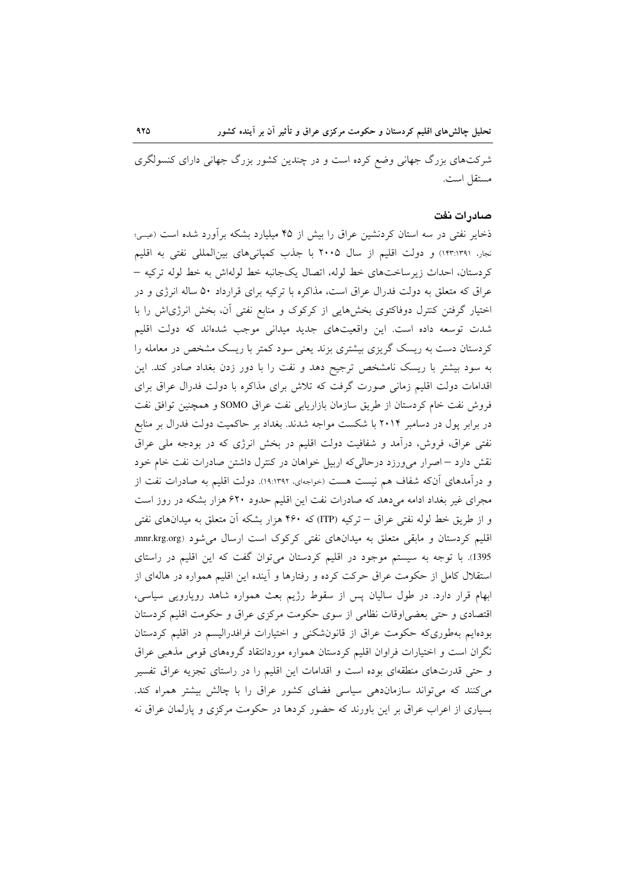شرکتهای بزرگ جهانی وضع کرده است و در چندین کشور بزرگ جهانی دارای کنسولگری مستقل است.

### صادر ات نفت

ذخایر نفتی در سه استان کردنشین عراق را بیش از ۴۵ میلیارد بشکه برآورد شده است (عیسی؛ نجار، ۱۳۳:۱۳۹۱) و دولت اقلیم از سال ۲۰۰۵ با جذب کمپانیهای بینالمللی نفتی به اقلیم كردستان، احداث زيرساختهاي خط لوله، اتصال يكجانبه خط لولهاش به خط لوله تركيه – عراق که متعلق به دولت فدرال عراق است، مذاکره با ترکیه برای قرارداد ۵۰ ساله انرژی و در اختیار گرفتن کنترل دوفاکتوی بخشهایی از کرکوک و منابع نفتی آن، بخش انرژیاش را با شدت توسعه داده است. این واقعیتهای جدید میدانی موجب شدهاند که دولت اقلیم کردستان دست به ریسک گریزی بیشتری بزند یعنی سود کمتر با ریسک مشخص در معامله را به سود بیشتر با ریسک نامشخص ترجیح دهد و نفت را با دور زدن بغداد صادر کند. این اقدامات دولت اقلیم زمانی صورت گرفت که تلاش برای مذاکره با دولت فدرال عراق برای فروش نفت خام کردستان از طریق سازمان بازاریابی نفت عراق SOMO و همچنین توافق نفت در برابر پول در دسامبر ۲۰۱۴ با شکست مواجه شدند. بغداد بر حاکمیت دولت فدرال بر منابع نفتی عراق، فروش، درآمد و شفافیت دولت اقلیم در بخش انرژی که در بودجه ملی عراق نقش دارد – اصرار میورزد درحالیکه اربیل خواهان در کنترل داشتن صادرات نفت خام خود و درآمدهای آنکه شفاف هم نیست هست (خواجهای، ۱۹:۱۳۹۲). دولت اقلیم به صادرات نفت از مجرای غیر بغداد ادامه میدهد که صادرات نفت این اقلیم حدود ۶۲۰ هزار بشکه در روز است و از طریق خط لوله نفتی عراق – ترکیه (ITP) که ۴۶۰ هزار بشکه اّن متعلق به میدانهای نفتی اقلیم کردستان و مابقی متعلق به میدانهای نفتی کرکوک است ارسال می شود (mnr.krg.org، 1395). با توجه به سیستم موجود در اقلیم کردستان میتوان گفت که این اقلیم در راستای استقلال کامل از حکومت عراق حرکت کرده و رفتارها و آینده این اقلیم همواره در هالهای از ابهام قرار دارد. در طول سالیان پس از سقوط رژیم بعث همواره شاهد رویارویی سیاسی، اقتصادی و حتی بعضی اوقات نظامی از سوی حکومت مرکزی عراق و حکومت اقلیم کردستان بودهایم بهطوریکه حکومت عراق از قانونشکنی و اختیارات فرافدرالیسم در اقلیم کردستان نگران است و اختیارات فراوان اقلیم کردستان همواره موردانتقاد گروههای قومی مذهبی عراق و حتی قدرتهای منطقهای بوده است و اقدامات این اقلیم را در راستای تجزیه عراق تفسیر می کنند که می تواند سازمان دهی سیاسی فضای کشور عراق را با چالش بیشتر همراه کند. بسیاری از اعراب عراق بر این باورند که حضور کردها در حکومت مرکزی و پارلمان عراق نه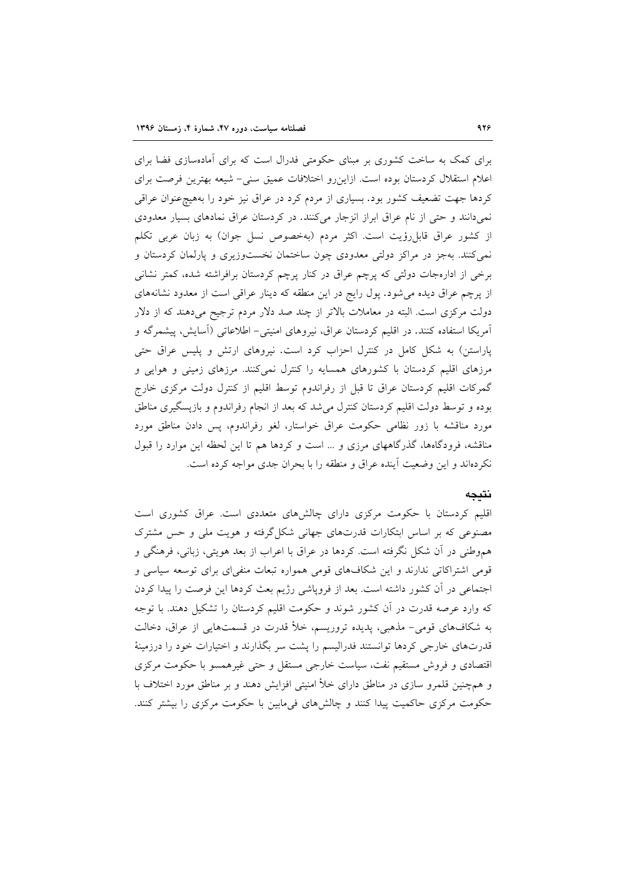برای کمک به ساخت کشوری بر مبنای حکومتی فدرال است که برای آمادهسازی فضا برای اعلام استقلال کردستان بوده است. ازاین رو اختلافات عمیق سنی- شیعه بهترین فرصت برای کردها جهت تضعیف کشور بود. بسیاری از مردم کرد در عراق نیز خود را بههیچ عنوان عراقبی نمیدانند و حتی از نام عراق ابراز انزجار میکنند. در کردستان عراق نمادهای بسیار معدودی از كشور عراق قابل رؤيت است. اكثر مردم (بهخصوص نسل جوان) به زبان عربي تكلم نمی کنند. بهجز در مراکز دولتی معدودی چون ساختمان نخستوزیری و پارلمان کردستان و برخی از ادارهجات دولتی که پرچم عراق در کنار پرچم کردستان برافراشته شده، کمتر نشانی از پرچم عراق دیده می شود. پول رایج در این منطقه که دینار عراقی است از معدود نشانههای دولت مرکزی است. البته در معاملات بالاتر از چند صد دلار مردم ترجیح میدهند که از دلار آمریکا استفاده کنند. در اقلیم کردستان عراق، نیروهای امنیتی- اطلاعاتی (آسایش، پیشمرگه و یاراستن) به شکل کامل در کنترل احزاب کرد است. نیروهای ارتش و پلیس عراق حتی مرزهای اقلیم کردستان با کشورهای همسایه را کنترل نمیکنند. مرزهای زمینی و هوایی و گمرکات اقلیم کردستان عراق تا قبل از رفراندوم توسط اقلیم از کنترل دولت مرکزی خارج بوده و توسط دولت اقلیم کردستان کنترل می شد که بعد از انجام رفراندوم و بازیسگیری مناطق مورد مناقشه با زور نظامی حکومت عراق خواستار، لغو رفراندوم، پس دادن مناطق مورد مناقشه، فرودگاهها، گذرگاههای مرزی و … است و کردها هم تا این لحظه این موارد را قبول نکردهاند و این وضعیت آینده عراق و منطقه را با بحران جدی مواجه کرده است.

# نتيجه

اقلیم کردستان با حکومت مرکزی دارای چالشهای متعددی است. عراق کشوری است مصنوعی که بر اساس ابتکارات قدرتهای جهانی شکل گرفته و هویت ملی و حس مشترک هموطني در أن شكل نگرفته است. كردها در عراق با اعراب از بعد هويتي، زباني، فرهنگي و قومی اشتراکاتی ندارند و این شکافهای قومی همواره تبعات منفی ای برای توسعه سیاسی و اجتماعی در آن کشور داشته است. بعد از فروپاشی رژیم بعث کردها این فرصت را پیدا کردن که وارد عرصه قدرت در آن کشور شوند و حکومت اقلیم کردستان را تشکیل دهند. با توجه به شکافهای قومی- مذهبی، پدیده تروریسم، خلأ قدرت در قسمتهایی از عراق، دخالت قدرتهای خارجی کردها توانستند فدرالیسم را پشت سر بگذارند و اختیارات خود را درزمینهٔ اقتصادی و فروش مستقیم نفت، سیاست خارجی مستقل و حتی غیرهمسو با حکومت مرکزی و همچنین قلمرو سازی در مناطق دارای خلأ امنیتی افزایش دهند و بر مناطق مورد اختلاف با حکومت مرکزی حاکمیت پیدا کنند و چالشهای فیمابین با حکومت مرکزی را بیشتر کنند.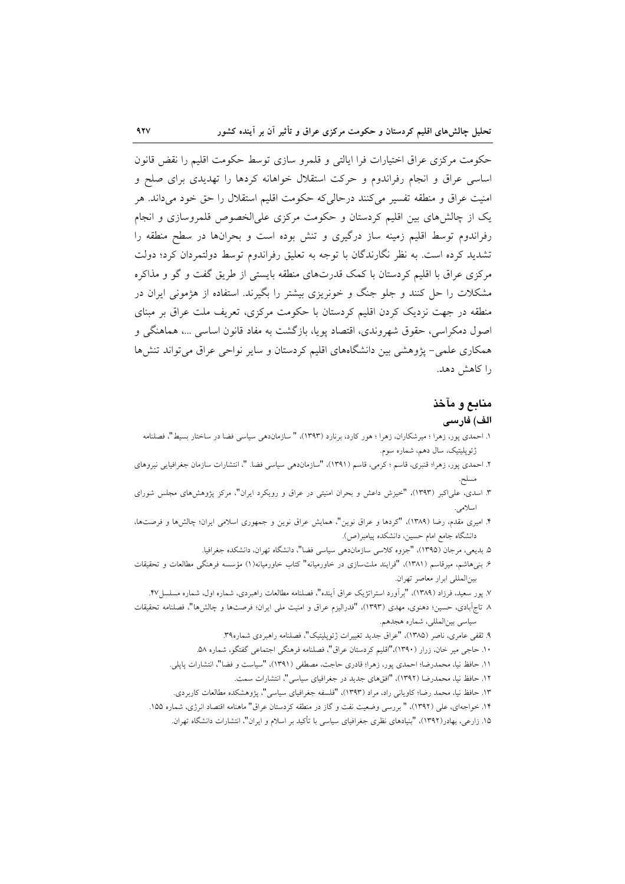حکومت مرکزی عراق اختیارات فرا ایالتی و قلمرو سازی توسط حکومت اقلیم را نقض قانون اساسی عراق و انجام رفراندوم و حرکت استقلال خواهانه کردها را تهدیدی برای صلح و امنیت عراق و منطقه تفسیر می کنند درحالی که حکومت اقلیم استقلال را حق خود میداند. هر یک از چالش های بین اقلیم کردستان و حکومت مرکزی علیالخصوص قلمروسازی و انجام رفراندوم توسط اقلیم زمینه ساز درگیری و تنش بوده است و بحرانها در سطح منطقه را تشدید کرده است. به نظر نگارندگان با توجه به تعلیق رفراندوم توسط دولتمردان کرد؛ دولت مرکزی عراق با اقلیم کردستان با کمک قدرتهای منطقه بایستی از طریق گفت و گو و مذاکره مشکلات را حل کنند و جلو جنگ و خونریزی بیشتر را بگیرند. استفاده از هژمونی ایران در منطقه در جهت نزدیک کردن اقلیم کردستان با حکومت مرکزی، تعریف ملت عراق بر مبنای اصول دمکراسي، حقوق شهروندي، اقتصاد يويا، بازگشت به مفاد قانون اساسي …، هماهنگي و همکاری علمی– پژوهشی بین دانشگاههای اقلیم کردستان و سایر نواحی عراق می تواند تنش ها را كاهش دهد.

### منابع و مآخذ

### الف) فارسى

- ١. احمدي يور، زهرا ؛ ميرشكاران، زهرا ؛ هور كارد، برنارد (١٣٩٣)، " سازماندهي سياسي فضا در ساختار بسيط"، فصلنامه ژئوپلیتیک، سال دهم، شماره سوم.
- ۲. احمدی پور، زهرا؛ قنبری، قاسم ؛ کرمی، قاسم (۱۳۹۱)، "سازماندهی سیاسی فضا. "، انتشارات سازمان جغرافیایی نیروهای مسلح.
- ۳. اسدی، علیاکبر (۱۳۹۳)، "خیزش داعش و بحران امنیتی در عراق و رویکرد ایران"، مرکز پژوهشهای مجلس شورای اسلامى.
- ۴. امیری مقدم، رضا (۱۳۸۹)، "کردها و عراق نوین"، همایش عراق نوین و جمهوری اسلامی ایران؛ چالشها و فرصتها، دانشگاه جامع امام حسین، دانشکده پیامبر(ص).
	- ۵. بديعي، مرجان (١٣٩۵)، "جزوه كلاسي سازماندهي سياسي فضا"، دانشگاه تهران، دانشكده جغرافيا.
- ۶. بنیهاشم، میرقاسم (۱۳۸۱)، "فرایند ملتسازی در خاورمیانه" کتاب خاورمیانه(۱) مؤسسه فرهنگی مطالعات و تحقیقات بينالمللي ابرار معاصر تهران.
	- ۷. پور سعید، فرزاد (۱۳۸۹)، "برآورد استراتژیک عراق اَینده"، فصلنامه مطالعات راهبردی، شماره اول، شماره مسلسل۲۷.
- ٨ تاج اَبادي، حسين؛ دهنوي، مهدي (١٣٩٣)، "فدراليزم عراق و امنيت ملي ايران؛ فرصتها و چالشها"، فصلنامه تحقيقات سياسي بين المللي، شماره هجدهم.
	- ۹. ثقفی عامری، ناصر (۱۳۸۵)، "عراق جدید تغییرات ژئوپلیتیک"، فصلنامه راهبردی شماره۳۹.
	- ۱۰. حاجی میر خان، زرار (۱۳۹۰)،"اقلیم کردستان عراق"، فصلنامه فرهنگی اجتماعی گفتگو، شماره ۵۸.
	- ١١. حافظ نيا، محمدرضا؛ احمدي يور، زهرا؛ قادري حاجت، مصطفى (١٣٩١)، "سياست و فضا"، انتشارات يايلي.
		- ١٢. حافظ نيا، محمدرضا (١٣٩٢)، "افقهاى جديد در جغرافياى سياسى"، انتشارات سمت.
	- ۱۳. حافظ نیا، محمد رضا؛ کاویانی راد، مراد (۱۳۹۳)، "فلسفه جغرافیای سیاسی"، پژوهشکده مطالعات کاربردی.
	- ۱۴. خواجهای، علی (۱۳۹۲)، " بررسی وضعیت نفت و گاز در منطقه کردستان عراق" ماهنامه اقتصاد انرژی، شماره ۱۵۵.
		- ۱۵. زارعی، بهادر(۱۳۹۲)، "بنیادهای نظری جغرافیای سیاسی با تأکید بر اسلام و ایران"، انتشارات دانشگاه تهران.